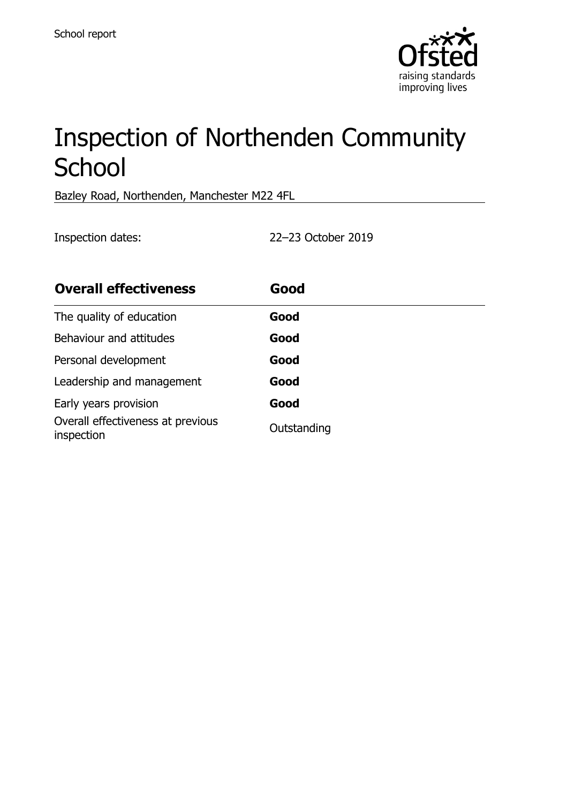

# Inspection of Northenden Community **School**

Bazley Road, Northenden, Manchester M22 4FL

Inspection dates: 22–23 October 2019

| <b>Overall effectiveness</b>                    | Good        |
|-------------------------------------------------|-------------|
| The quality of education                        | Good        |
| Behaviour and attitudes                         | Good        |
| Personal development                            | Good        |
| Leadership and management                       | Good        |
| Early years provision                           | Good        |
| Overall effectiveness at previous<br>inspection | Outstanding |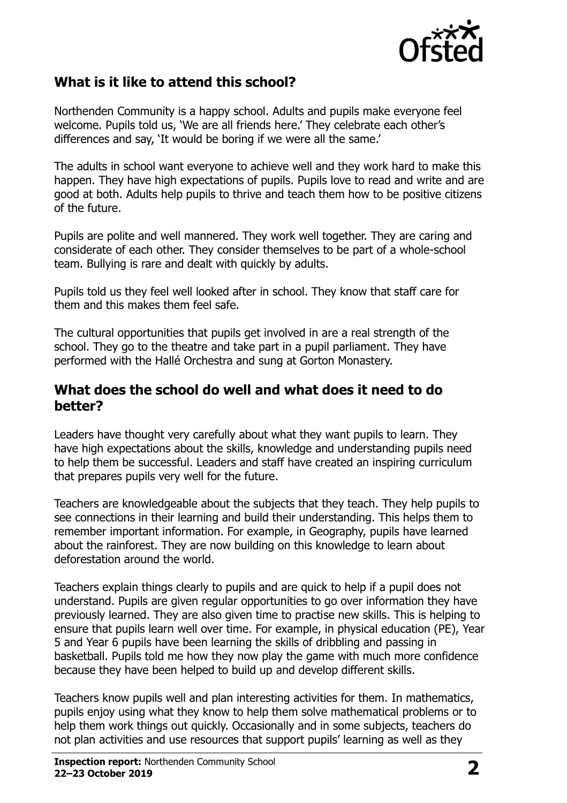

#### **What is it like to attend this school?**

Northenden Community is a happy school. Adults and pupils make everyone feel welcome. Pupils told us, 'We are all friends here.' They celebrate each other's differences and say, 'It would be boring if we were all the same.'

The adults in school want everyone to achieve well and they work hard to make this happen. They have high expectations of pupils. Pupils love to read and write and are good at both. Adults help pupils to thrive and teach them how to be positive citizens of the future.

Pupils are polite and well mannered. They work well together. They are caring and considerate of each other. They consider themselves to be part of a whole-school team. Bullying is rare and dealt with quickly by adults.

Pupils told us they feel well looked after in school. They know that staff care for them and this makes them feel safe.

The cultural opportunities that pupils get involved in are a real strength of the school. They go to the theatre and take part in a pupil parliament. They have performed with the Hallé Orchestra and sung at Gorton Monastery.

#### **What does the school do well and what does it need to do better?**

Leaders have thought very carefully about what they want pupils to learn. They have high expectations about the skills, knowledge and understanding pupils need to help them be successful. Leaders and staff have created an inspiring curriculum that prepares pupils very well for the future.

Teachers are knowledgeable about the subjects that they teach. They help pupils to see connections in their learning and build their understanding. This helps them to remember important information. For example, in Geography, pupils have learned about the rainforest. They are now building on this knowledge to learn about deforestation around the world.

Teachers explain things clearly to pupils and are quick to help if a pupil does not understand. Pupils are given regular opportunities to go over information they have previously learned. They are also given time to practise new skills. This is helping to ensure that pupils learn well over time. For example, in physical education (PE), Year 5 and Year 6 pupils have been learning the skills of dribbling and passing in basketball. Pupils told me how they now play the game with much more confidence because they have been helped to build up and develop different skills.

Teachers know pupils well and plan interesting activities for them. In mathematics, pupils enjoy using what they know to help them solve mathematical problems or to help them work things out quickly. Occasionally and in some subjects, teachers do not plan activities and use resources that support pupils' learning as well as they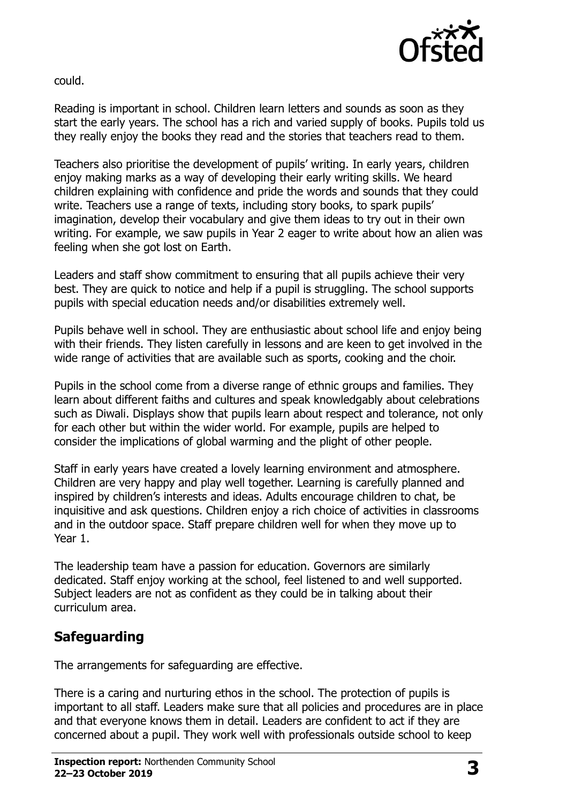

could.

Reading is important in school. Children learn letters and sounds as soon as they start the early years. The school has a rich and varied supply of books. Pupils told us they really enjoy the books they read and the stories that teachers read to them.

Teachers also prioritise the development of pupils' writing. In early years, children enjoy making marks as a way of developing their early writing skills. We heard children explaining with confidence and pride the words and sounds that they could write. Teachers use a range of texts, including story books, to spark pupils' imagination, develop their vocabulary and give them ideas to try out in their own writing. For example, we saw pupils in Year 2 eager to write about how an alien was feeling when she got lost on Earth.

Leaders and staff show commitment to ensuring that all pupils achieve their very best. They are quick to notice and help if a pupil is struggling. The school supports pupils with special education needs and/or disabilities extremely well.

Pupils behave well in school. They are enthusiastic about school life and enjoy being with their friends. They listen carefully in lessons and are keen to get involved in the wide range of activities that are available such as sports, cooking and the choir.

Pupils in the school come from a diverse range of ethnic groups and families. They learn about different faiths and cultures and speak knowledgably about celebrations such as Diwali. Displays show that pupils learn about respect and tolerance, not only for each other but within the wider world. For example, pupils are helped to consider the implications of global warming and the plight of other people.

Staff in early years have created a lovely learning environment and atmosphere. Children are very happy and play well together. Learning is carefully planned and inspired by children's interests and ideas. Adults encourage children to chat, be inquisitive and ask questions. Children enjoy a rich choice of activities in classrooms and in the outdoor space. Staff prepare children well for when they move up to Year 1.

The leadership team have a passion for education. Governors are similarly dedicated. Staff enjoy working at the school, feel listened to and well supported. Subject leaders are not as confident as they could be in talking about their curriculum area.

### **Safeguarding**

The arrangements for safeguarding are effective.

There is a caring and nurturing ethos in the school. The protection of pupils is important to all staff. Leaders make sure that all policies and procedures are in place and that everyone knows them in detail. Leaders are confident to act if they are concerned about a pupil. They work well with professionals outside school to keep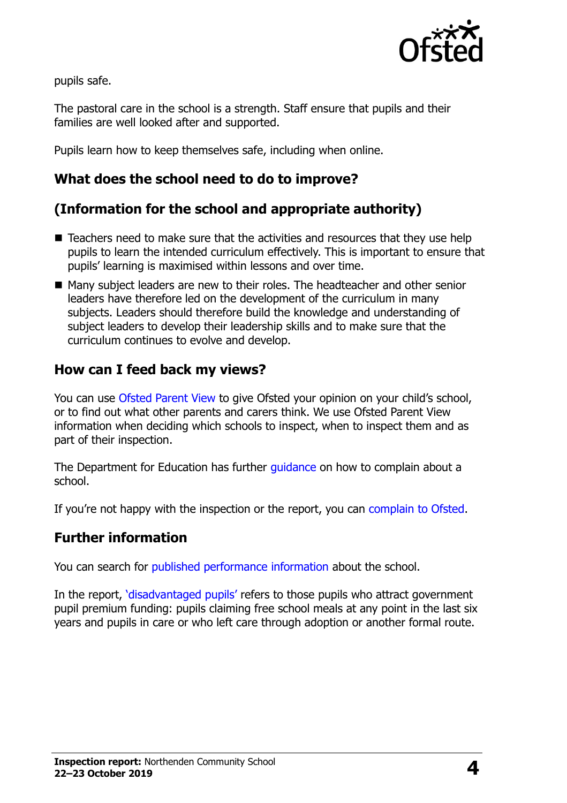

pupils safe.

The pastoral care in the school is a strength. Staff ensure that pupils and their families are well looked after and supported.

Pupils learn how to keep themselves safe, including when online.

### **What does the school need to do to improve?**

## **(Information for the school and appropriate authority)**

- $\blacksquare$  Teachers need to make sure that the activities and resources that they use help pupils to learn the intended curriculum effectively. This is important to ensure that pupils' learning is maximised within lessons and over time.
- Many subject leaders are new to their roles. The headteacher and other senior leaders have therefore led on the development of the curriculum in many subjects. Leaders should therefore build the knowledge and understanding of subject leaders to develop their leadership skills and to make sure that the curriculum continues to evolve and develop.

#### **How can I feed back my views?**

You can use [Ofsted Parent View](http://parentview.ofsted.gov.uk/) to give Ofsted your opinion on your child's school, or to find out what other parents and carers think. We use Ofsted Parent View information when deciding which schools to inspect, when to inspect them and as part of their inspection.

The Department for Education has further quidance on how to complain about a school.

If you're not happy with the inspection or the report, you can [complain to Ofsted.](http://www.gov.uk/complain-ofsted-report)

#### **Further information**

You can search for [published performance information](http://www.compare-school-performance.service.gov.uk/) about the school.

In the report, '[disadvantaged pupils](http://www.gov.uk/guidance/pupil-premium-information-for-schools-and-alternative-provision-settings)' refers to those pupils who attract government pupil premium funding: pupils claiming free school meals at any point in the last six years and pupils in care or who left care through adoption or another formal route.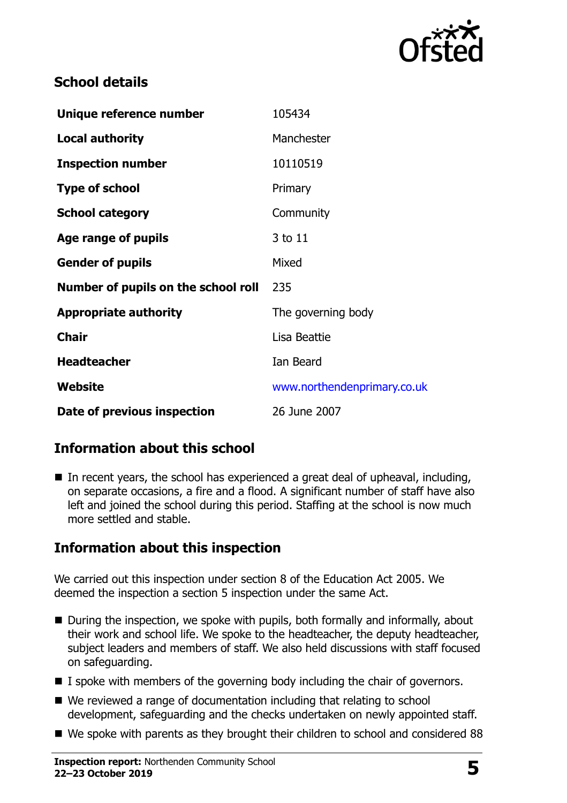

#### **School details**

| Unique reference number             | 105434                      |
|-------------------------------------|-----------------------------|
| <b>Local authority</b>              | Manchester                  |
| <b>Inspection number</b>            | 10110519                    |
| <b>Type of school</b>               | Primary                     |
| <b>School category</b>              | Community                   |
| Age range of pupils                 | 3 to 11                     |
| <b>Gender of pupils</b>             | Mixed                       |
| Number of pupils on the school roll | 235                         |
| <b>Appropriate authority</b>        | The governing body          |
| <b>Chair</b>                        | Lisa Beattie                |
| <b>Headteacher</b>                  | Ian Beard                   |
| Website                             | www.northendenprimary.co.uk |
| Date of previous inspection         | 26 June 2007                |

### **Information about this school**

 $\blacksquare$  In recent years, the school has experienced a great deal of upheaval, including, on separate occasions, a fire and a flood. A significant number of staff have also left and joined the school during this period. Staffing at the school is now much more settled and stable.

### **Information about this inspection**

We carried out this inspection under section 8 of the Education Act 2005. We deemed the inspection a section 5 inspection under the same Act.

- During the inspection, we spoke with pupils, both formally and informally, about their work and school life. We spoke to the headteacher, the deputy headteacher, subject leaders and members of staff. We also held discussions with staff focused on safeguarding.
- I spoke with members of the governing body including the chair of governors.
- We reviewed a range of documentation including that relating to school development, safeguarding and the checks undertaken on newly appointed staff.
- We spoke with parents as they brought their children to school and considered 88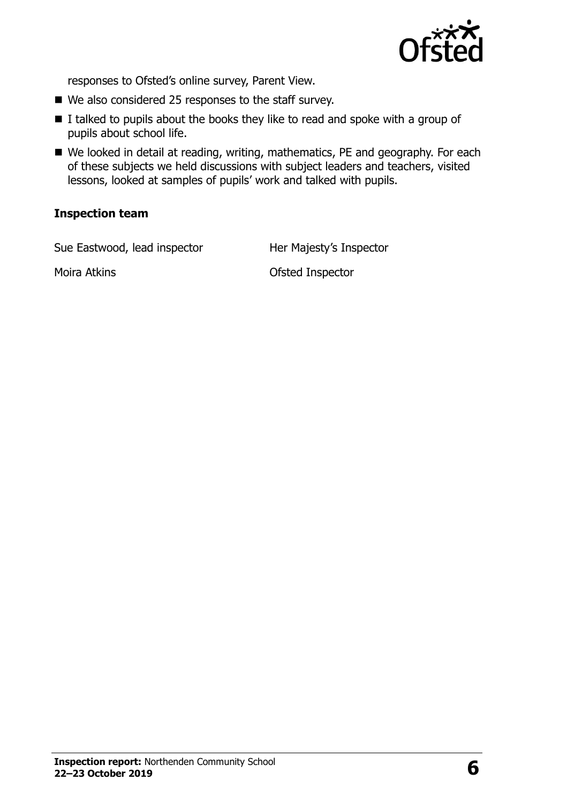

responses to Ofsted's online survey, Parent View.

- We also considered 25 responses to the staff survey.
- $\blacksquare$  I talked to pupils about the books they like to read and spoke with a group of pupils about school life.
- We looked in detail at reading, writing, mathematics, PE and geography. For each of these subjects we held discussions with subject leaders and teachers, visited lessons, looked at samples of pupils' work and talked with pupils.

#### **Inspection team**

Sue Eastwood, lead inspector **Her Majesty's Inspector** 

Moira Atkins **Moira Atkins Moira Atkins Moira Atkins Constanting Moira Atkins Constanting Moira Atkins**